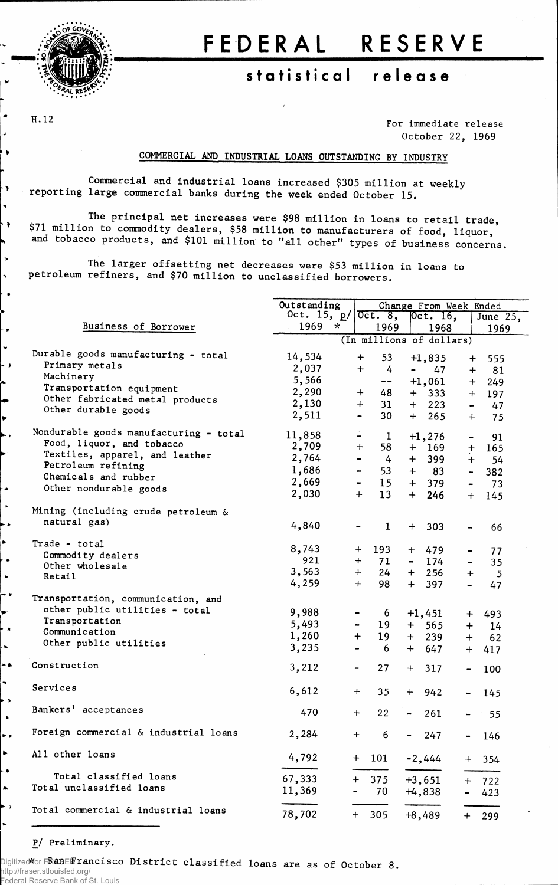

H.12

۰,

 $\rightarrow \bullet$ 

 $\overline{\phantom{a}}$  $\ddot{\phantom{1}}$  $\bullet$ 

 $\bullet$ 

 $\ddot{\phantom{1}}$ 

 $\lambda$ 

## FEDERAL RESERVE

## **statistica l releas e**

For **immediate release October 22, 1969**

## **COMMERCIAL AND INDUSTRIAL LOANS OUTSTANDING BY INDUSTRY**

**Commercial and industrial loans increased \$305 million at weekly reporting large commercial banks during the week ended October 15.**

**The principal net increases were \$98 million in loans to retail trade, \$71 million to commodity dealers, \$58 million to manufacturers of food, liquor and tobacco products, and \$101 million to "all other" types of business concerns,**

**The larger offsetting net decreases were \$53 million in loans to petroleum refiners, and \$70 million to unclassified borrowers.**

|                                        | Outstanding              | Change From Week Ended             |                       |                         |  |  |  |  |  |
|----------------------------------------|--------------------------|------------------------------------|-----------------------|-------------------------|--|--|--|--|--|
|                                        | Oct. 15, $p/$            | 0ct.8,                             | $0ct.$ 16,            | June 25,                |  |  |  |  |  |
| Business of Borrower                   | 1969<br>$\star$          | 1969                               | 1968                  | 1969                    |  |  |  |  |  |
|                                        | (In millions of dollars) |                                    |                       |                         |  |  |  |  |  |
| Durable goods manufacturing - total    | 14,534                   | 53<br>$+$                          | $+1,835$              | 555<br>$+$              |  |  |  |  |  |
| Primary metals                         | 2,037                    | 4<br>$+$                           | 47<br>Ξ.              | 81<br>$+$               |  |  |  |  |  |
| Machinery                              | 5,566                    |                                    |                       |                         |  |  |  |  |  |
| Transportation equipment               |                          | $\overline{\phantom{a}}$           | $+1,061$              | $+$<br>249              |  |  |  |  |  |
| Other fabricated metal products        | 2,290                    | 48<br>$+$                          | 333<br>$+$            | 197<br>$+$              |  |  |  |  |  |
| Other durable goods                    | 2,130                    | 31<br>$\div$                       | $+$ 223               | 47<br>$\blacksquare$    |  |  |  |  |  |
|                                        | 2,511                    | 30<br>$\qquad \qquad \blacksquare$ | 265<br>$+$            | 75<br>$+$               |  |  |  |  |  |
| Nondurable goods manufacturing - total | 11,858                   | $\mathbf{1}$                       | $+1,276$              | 91<br>-                 |  |  |  |  |  |
| Food, liquor, and tobacco              | 2,709                    | $\div$<br>58                       | $+ 169$               |                         |  |  |  |  |  |
| Textiles, apparel, and leather         | 2,764                    |                                    |                       | $\ddot{}$<br>165        |  |  |  |  |  |
| Petroleum refining                     |                          | 4<br>$\qquad \qquad \blacksquare$  | 399<br>$+$            | $+$<br>54               |  |  |  |  |  |
| Chemicals and rubber                   | 1,686                    | 53                                 | $+$ 83                | 382                     |  |  |  |  |  |
| Other nondurable goods                 | 2,669                    | 15<br>$\blacksquare$               | 379<br>$+$            | 73                      |  |  |  |  |  |
|                                        | 2,030                    | $\ddag$<br>13                      | 246<br>$+$            | 145 <sup>°</sup><br>$+$ |  |  |  |  |  |
| Mining (including crude petroleum &    |                          |                                    |                       |                         |  |  |  |  |  |
| natural gas)                           |                          |                                    |                       |                         |  |  |  |  |  |
|                                        | 4,840                    | $\mathbf{1}$                       | 303<br>$+$            | 66                      |  |  |  |  |  |
| Trade - total                          | 8,743                    |                                    |                       |                         |  |  |  |  |  |
| Commodity dealers                      | 921                      | 193<br>$+$                         | 479<br>$+$            | 77                      |  |  |  |  |  |
| Other wholesale                        |                          | 71<br>$+$                          | 174<br>$\blacksquare$ | 35                      |  |  |  |  |  |
| Retail                                 | 3,563                    | $+$<br>24                          | 256<br>$+$            | $+$<br>5                |  |  |  |  |  |
|                                        | 4,259                    | $+$<br>98                          | 397<br>$+$            | 47                      |  |  |  |  |  |
| Transportation, communication, and     |                          |                                    |                       |                         |  |  |  |  |  |
| other public utilities - total         | 9,988                    | 6                                  | $+1,451$              | 493<br>$\ddot{}$        |  |  |  |  |  |
| Transportation                         | 5,493                    | 19<br>-                            | $+$<br>565            | 14<br>$+$               |  |  |  |  |  |
| Communication                          | 1,260                    | $+$<br>19                          | $+$<br>239            | 62<br>$+$               |  |  |  |  |  |
| Other public utilities                 | 3,235                    | $\overline{\phantom{a}}$<br>6      | 647<br>$+$            |                         |  |  |  |  |  |
|                                        |                          |                                    |                       | $+$<br>417              |  |  |  |  |  |
| Construction                           | 3,212                    | 27<br>$\qquad \qquad \blacksquare$ | 317<br>$+$            | 100                     |  |  |  |  |  |
|                                        |                          |                                    |                       |                         |  |  |  |  |  |
| Services                               | 6,612                    | $+$<br>35                          | 942<br>$+$            | 145                     |  |  |  |  |  |
| Bankers' acceptances                   |                          |                                    |                       |                         |  |  |  |  |  |
|                                        | 470                      | 22<br>$\ddot{}$                    | 261<br>$\blacksquare$ | 55                      |  |  |  |  |  |
| Foreign commercial & industrial loans  | 2,284                    | 6<br>$\ddot{}$                     | 247<br>$\sim$         | 146                     |  |  |  |  |  |
|                                        |                          |                                    |                       |                         |  |  |  |  |  |
| All other loans                        | 4,792                    | $+$ 101                            | $-2,444$              | $+ 354$                 |  |  |  |  |  |
|                                        |                          |                                    |                       |                         |  |  |  |  |  |
| Total classified loans                 | 67,333                   | 375<br>$\ddot{}$                   | $+3,651$              | 722                     |  |  |  |  |  |
| Total unclassified loans               | 11,369                   | 70                                 | $+4,838$              | 423                     |  |  |  |  |  |
| Total commercial & industrial loans    |                          |                                    |                       |                         |  |  |  |  |  |
|                                        | 78,702                   | 305<br>$+$                         | $+8,489$              | 299<br>$\div$           |  |  |  |  |  |

## P/ Preliminary.

Digitized **\***for FRASER **San Francisco District classified loans are as of October 8.** http://fraser.stlouisfed.org/ Federal Reserve Bank of St. Louis